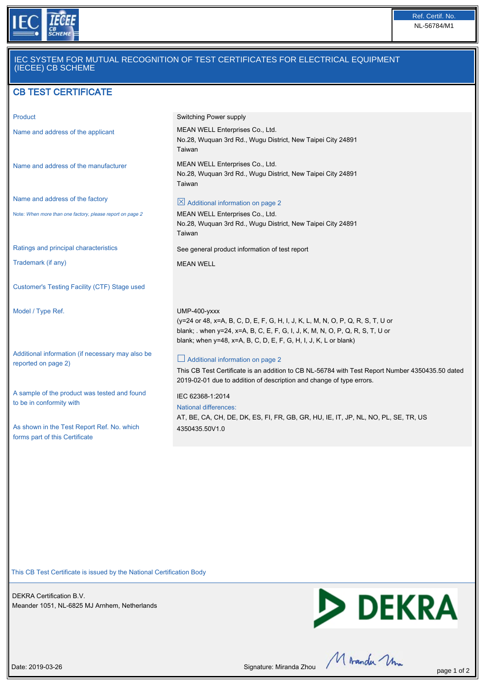

### IEC SYSTEM FOR MUTUAL RECOGNITION OF TEST CERTIFICATES FOR ELECTRICAL EQUIPMENT (IECEE) CB SCHEME

## CB TEST CERTIFICATE

| Product                                                                      | Switching Power supply                                                                                                                                                                                                                                 |
|------------------------------------------------------------------------------|--------------------------------------------------------------------------------------------------------------------------------------------------------------------------------------------------------------------------------------------------------|
| Name and address of the applicant                                            | MEAN WELL Enterprises Co., Ltd.<br>No.28, Wuquan 3rd Rd., Wugu District, New Taipei City 24891<br>Taiwan                                                                                                                                               |
| Name and address of the manufacturer                                         | MEAN WELL Enterprises Co., Ltd.<br>No.28, Wuquan 3rd Rd., Wugu District, New Taipei City 24891<br>Taiwan                                                                                                                                               |
| Name and address of the factory                                              | $\boxtimes$ Additional information on page 2                                                                                                                                                                                                           |
| Note: When more than one factory, please report on page 2                    | MEAN WELL Enterprises Co., Ltd.<br>No.28, Wuquan 3rd Rd., Wugu District, New Taipei City 24891<br>Taiwan                                                                                                                                               |
| Ratings and principal characteristics                                        | See general product information of test report                                                                                                                                                                                                         |
| Trademark (if any)                                                           | <b>MEAN WELL</b>                                                                                                                                                                                                                                       |
| Customer's Testing Facility (CTF) Stage used                                 |                                                                                                                                                                                                                                                        |
| Model / Type Ref.                                                            | $UMP-400-yxxx$<br>(y=24 or 48, x=A, B, C, D, E, F, G, H, I, J, K, L, M, N, O, P, Q, R, S, T, U or<br>blank; . when y=24, x=A, B, C, E, F, G, I, J, K, M, N, O, P, Q, R, S, T, U or<br>blank; when y=48, x=A, B, C, D, E, F, G, H, I, J, K, L or blank) |
| Additional information (if necessary may also be<br>reported on page 2)      | $\Box$ Additional information on page 2<br>This CB Test Certificate is an addition to CB NL-56784 with Test Report Number 4350435.50 dated<br>2019-02-01 due to addition of description and change of type errors.                                     |
| A sample of the product was tested and found<br>to be in conformity with     | IEC 62368-1:2014<br><b>National differences:</b><br>AT, BE, CA, CH, DE, DK, ES, FI, FR, GB, GR, HU, IE, IT, JP, NL, NO, PL, SE, TR, US                                                                                                                 |
| As shown in the Test Report Ref. No. which<br>forms part of this Certificate | 4350435.50V1.0                                                                                                                                                                                                                                         |

This CB Test Certificate is issued by the National Certification Body

DEKRA Certification B.V. Meander 1051, NL-6825 MJ Arnhem, Netherlands



Date: 2019-03-26 Page 1 of 2